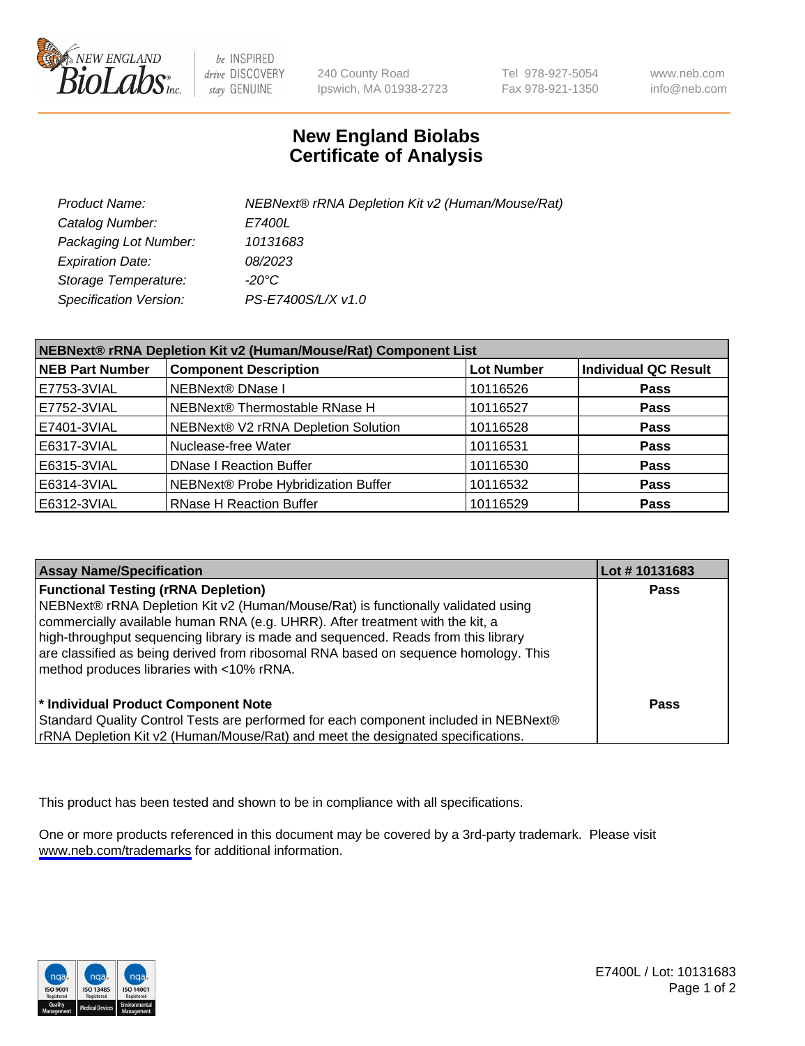

be INSPIRED drive DISCOVERY stay GENUINE

240 County Road Ipswich, MA 01938-2723 Tel 978-927-5054 Fax 978-921-1350

www.neb.com info@neb.com

## **New England Biolabs Certificate of Analysis**

| Product Name:           | NEBNext® rRNA Depletion Kit v2 (Human/Mouse/Rat) |
|-------------------------|--------------------------------------------------|
| Catalog Number:         | <i>E7400L</i>                                    |
| Packaging Lot Number:   | 10131683                                         |
| <b>Expiration Date:</b> | 08/2023                                          |
| Storage Temperature:    | -20°C                                            |
| Specification Version:  | PS-E7400S/L/X v1.0                               |

| NEBNext® rRNA Depletion Kit v2 (Human/Mouse/Rat) Component List |                                     |                   |                             |  |
|-----------------------------------------------------------------|-------------------------------------|-------------------|-----------------------------|--|
| <b>NEB Part Number</b>                                          | <b>Component Description</b>        | <b>Lot Number</b> | <b>Individual QC Result</b> |  |
| E7753-3VIAL                                                     | NEBNext® DNase I                    | 10116526          | <b>Pass</b>                 |  |
| E7752-3VIAL                                                     | NEBNext® Thermostable RNase H       | 10116527          | <b>Pass</b>                 |  |
| E7401-3VIAL                                                     | NEBNext® V2 rRNA Depletion Solution | 10116528          | <b>Pass</b>                 |  |
| E6317-3VIAL                                                     | Nuclease-free Water                 | 10116531          | <b>Pass</b>                 |  |
| E6315-3VIAL                                                     | <b>DNase I Reaction Buffer</b>      | 10116530          | <b>Pass</b>                 |  |
| E6314-3VIAL                                                     | NEBNext® Probe Hybridization Buffer | 10116532          | <b>Pass</b>                 |  |
| E6312-3VIAL                                                     | <b>RNase H Reaction Buffer</b>      | 10116529          | <b>Pass</b>                 |  |

| <b>Assay Name/Specification</b>                                                                                                                                                                                                                                                                                                                                                                                                          | Lot #10131683 |
|------------------------------------------------------------------------------------------------------------------------------------------------------------------------------------------------------------------------------------------------------------------------------------------------------------------------------------------------------------------------------------------------------------------------------------------|---------------|
| <b>Functional Testing (rRNA Depletion)</b><br>NEBNext® rRNA Depletion Kit v2 (Human/Mouse/Rat) is functionally validated using<br>commercially available human RNA (e.g. UHRR). After treatment with the kit, a<br>high-throughput sequencing library is made and sequenced. Reads from this library<br>are classified as being derived from ribosomal RNA based on sequence homology. This<br>method produces libraries with <10% rRNA. | <b>Pass</b>   |
| * Individual Product Component Note<br>Standard Quality Control Tests are performed for each component included in NEBNext®<br>rRNA Depletion Kit v2 (Human/Mouse/Rat) and meet the designated specifications.                                                                                                                                                                                                                           | Pass          |

This product has been tested and shown to be in compliance with all specifications.

One or more products referenced in this document may be covered by a 3rd-party trademark. Please visit <www.neb.com/trademarks>for additional information.